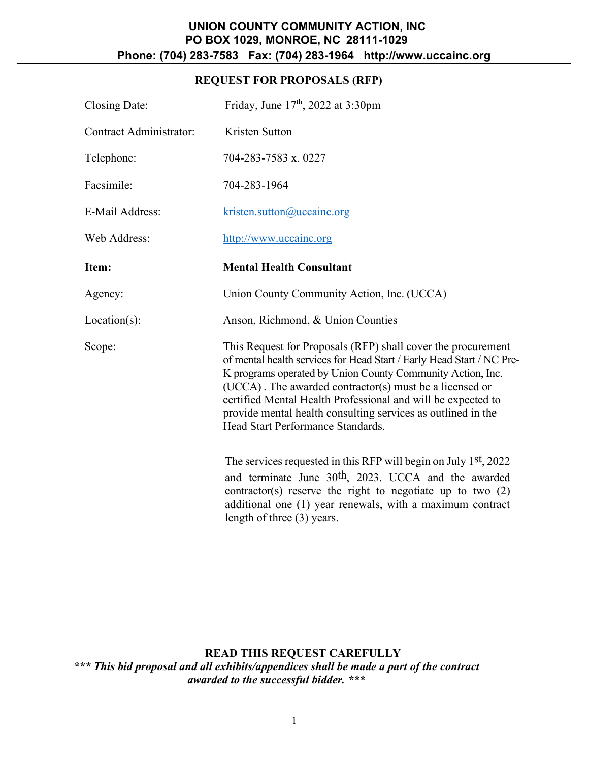# **REQUEST FOR PROPOSALS (RFP)**

| Closing Date:                  | Friday, June 17 <sup>th</sup> , 2022 at 3:30pm                                                                                                                                                                                                                                                                                                                                                                                      |  |
|--------------------------------|-------------------------------------------------------------------------------------------------------------------------------------------------------------------------------------------------------------------------------------------------------------------------------------------------------------------------------------------------------------------------------------------------------------------------------------|--|
| <b>Contract Administrator:</b> | Kristen Sutton                                                                                                                                                                                                                                                                                                                                                                                                                      |  |
| Telephone:                     | 704-283-7583 x. 0227                                                                                                                                                                                                                                                                                                                                                                                                                |  |
| Facsimile:                     | 704-283-1964                                                                                                                                                                                                                                                                                                                                                                                                                        |  |
| <b>E-Mail Address:</b>         | $k$ risten.sutton@uccainc.org                                                                                                                                                                                                                                                                                                                                                                                                       |  |
| Web Address:                   | http://www.uccainc.org                                                                                                                                                                                                                                                                                                                                                                                                              |  |
| Item:                          | <b>Mental Health Consultant</b>                                                                                                                                                                                                                                                                                                                                                                                                     |  |
| Agency:                        | Union County Community Action, Inc. (UCCA)                                                                                                                                                                                                                                                                                                                                                                                          |  |
| $Location(s)$ :                | Anson, Richmond, & Union Counties                                                                                                                                                                                                                                                                                                                                                                                                   |  |
| Scope:                         | This Request for Proposals (RFP) shall cover the procurement<br>of mental health services for Head Start / Early Head Start / NC Pre-<br>K programs operated by Union County Community Action, Inc.<br>(UCCA). The awarded contractor(s) must be a licensed or<br>certified Mental Health Professional and will be expected to<br>provide mental health consulting services as outlined in the<br>Head Start Performance Standards. |  |
|                                | The services requested in this RFP will begin on July 1st, 2022<br>and terminate June 30 <sup>th</sup> , 2023. UCCA and the awarded<br>contractor(s) reserve the right to negotiate up to two $(2)$<br>additional one (1) year renewals, with a maximum contract<br>length of three (3) years.                                                                                                                                      |  |

**READ THIS REQUEST CAREFULLY** *\*\*\* This bid proposal and all exhibits/appendices shall be made a part of the contract awarded to the successful bidder. \*\*\**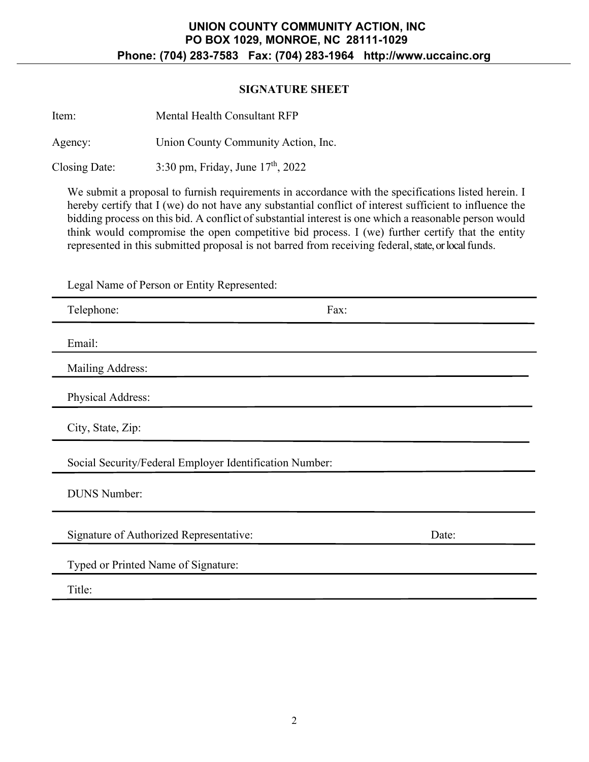### **SIGNATURE SHEET**

| Item:         | Mental Health Consultant RFP        |  |
|---------------|-------------------------------------|--|
| Agency:       | Union County Community Action, Inc. |  |
| Closing Date: | 3:30 pm, Friday, June $17th$ , 2022 |  |

We submit a proposal to furnish requirements in accordance with the specifications listed herein. I hereby certify that I (we) do not have any substantial conflict of interest sufficient to influence the bidding process on this bid. A conflict of substantial interest is one which a reasonable person would think would compromise the open competitive bid process. I (we) further certify that the entity represented in this submitted proposal is not barred from receiving federal, state, or local funds.

Legal Name of Person or Entity Represented:

| Telephone:                                              | Fax:  |
|---------------------------------------------------------|-------|
| Email:                                                  |       |
| Mailing Address:                                        |       |
| Physical Address:                                       |       |
| City, State, Zip:                                       |       |
| Social Security/Federal Employer Identification Number: |       |
| <b>DUNS Number:</b>                                     |       |
| Signature of Authorized Representative:                 | Date: |
| Typed or Printed Name of Signature:                     |       |
| Title:                                                  |       |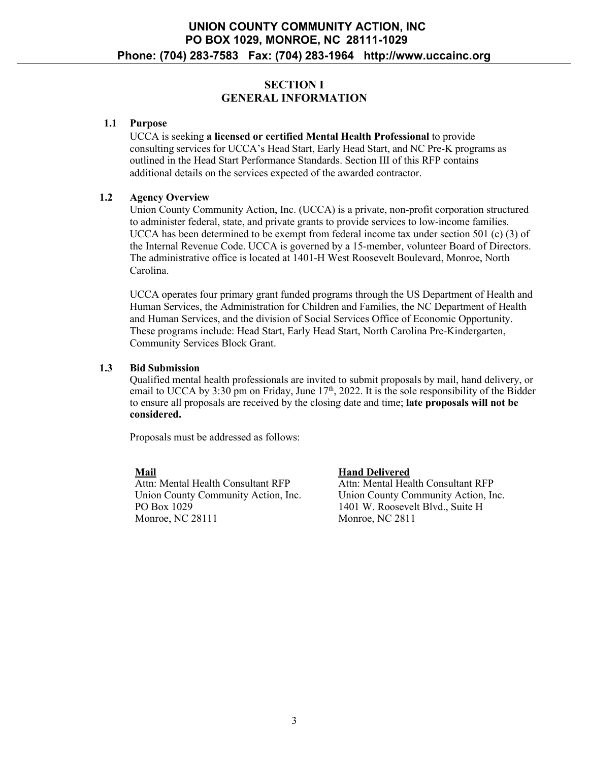# **SECTION I GENERAL INFORMATION**

### **1.1 Purpose**

UCCA is seeking **a licensed or certified Mental Health Professional** to provide consulting services for UCCA's Head Start, Early Head Start, and NC Pre-K programs as outlined in the Head Start Performance Standards. Section III of this RFP contains additional details on the services expected of the awarded contractor.

### **1.2 Agency Overview**

Union County Community Action, Inc. (UCCA) is a private, non-profit corporation structured to administer federal, state, and private grants to provide services to low-income families. UCCA has been determined to be exempt from federal income tax under section 501 (c) (3) of the Internal Revenue Code. UCCA is governed by a 15-member, volunteer Board of Directors. The administrative office is located at 1401-H West Roosevelt Boulevard, Monroe, North Carolina.

UCCA operates four primary grant funded programs through the US Department of Health and Human Services, the Administration for Children and Families, the NC Department of Health and Human Services, and the division of Social Services Office of Economic Opportunity. These programs include: Head Start, Early Head Start, North Carolina Pre-Kindergarten, Community Services Block Grant.

### **1.3 Bid Submission**

Qualified mental health professionals are invited to submit proposals by mail, hand delivery, or email to UCCA by 3:30 pm on Friday, June 17<sup>th</sup>, 2022. It is the sole responsibility of the Bidder to ensure all proposals are received by the closing date and time; **late proposals will not be considered.**

Proposals must be addressed as follows:

**Mail** Attn: Mental Health Consultant RFP Union County Community Action, Inc. PO Box 1029 Monroe, NC 28111

**Hand Delivered**

Attn: Mental Health Consultant RFP Union County Community Action, Inc. 1401 W. Roosevelt Blvd., Suite H Monroe, NC 2811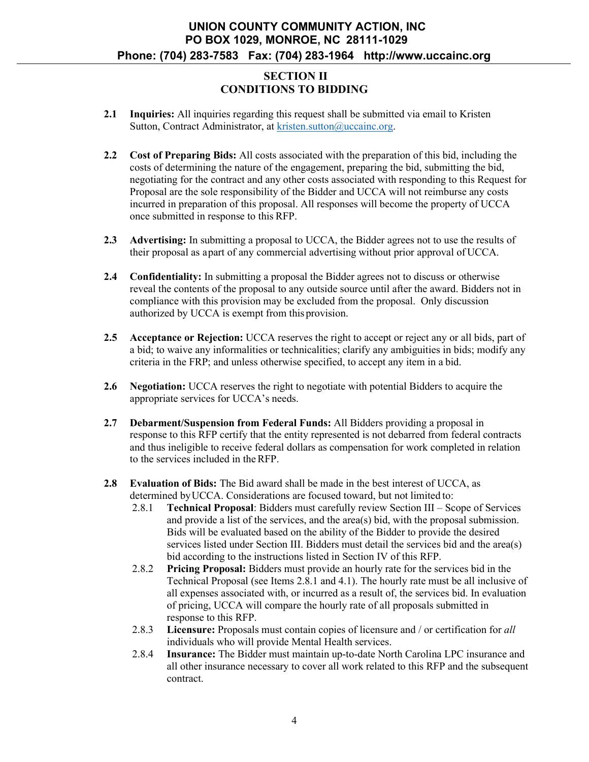## **SECTION II CONDITIONS TO BIDDING**

- **2.1 Inquiries:** All inquiries regarding this request shall be submitted via email to Kristen Sutton, Contract Administrator, at [kristen.sutton@uccainc.org.](mailto:kristen.sutton@uccainc.org)
- **2.2 Cost of Preparing Bids:** All costs associated with the preparation of this bid, including the costs of determining the nature of the engagement, preparing the bid, submitting the bid, negotiating for the contract and any other costs associated with responding to this Request for Proposal are the sole responsibility of the Bidder and UCCA will not reimburse any costs incurred in preparation of this proposal. All responses will become the property of UCCA once submitted in response to this RFP.
- **2.3 Advertising:** In submitting a proposal to UCCA, the Bidder agrees not to use the results of their proposal as apart of any commercial advertising without prior approval of UCCA.
- **2.4 Confidentiality:** In submitting a proposal the Bidder agrees not to discuss or otherwise reveal the contents of the proposal to any outside source until after the award. Bidders not in compliance with this provision may be excluded from the proposal. Only discussion authorized by UCCA is exempt from this provision.
- **2.5 Acceptance or Rejection:** UCCA reserves the right to accept or reject any or all bids, part of a bid; to waive any informalities or technicalities; clarify any ambiguities in bids; modify any criteria in the FRP; and unless otherwise specified, to accept any item in a bid.
- **2.6 Negotiation:** UCCA reserves the right to negotiate with potential Bidders to acquire the appropriate services for UCCA's needs.
- **2.7 Debarment/Suspension from Federal Funds:** All Bidders providing a proposal in response to this RFP certify that the entity represented is not debarred from federal contracts and thus ineligible to receive federal dollars as compensation for work completed in relation to the services included in theRFP.
- **2.8 Evaluation of Bids:** The Bid award shall be made in the best interest of UCCA, as determined by UCCA. Considerations are focused toward, but not limited to:
	- 2.8.1 **Technical Proposal**: Bidders must carefully review Section III Scope of Services and provide a list of the services, and the area(s) bid, with the proposal submission. Bids will be evaluated based on the ability of the Bidder to provide the desired services listed under Section III. Bidders must detail the services bid and the area(s) bid according to the instructions listed in Section IV of this RFP.
	- 2.8.2 **Pricing Proposal:** Bidders must provide an hourly rate for the services bid in the Technical Proposal (see Items 2.8.1 and 4.1). The hourly rate must be all inclusive of all expenses associated with, or incurred as a result of, the services bid. In evaluation of pricing, UCCA will compare the hourly rate of all proposals submitted in response to this RFP.
	- 2.8.3 **Licensure:** Proposals must contain copies of licensure and / or certification for *all*  individuals who will provide Mental Health services.
	- 2.8.4 **Insurance:** The Bidder must maintain up-to-date North Carolina LPC insurance and all other insurance necessary to cover all work related to this RFP and the subsequent contract.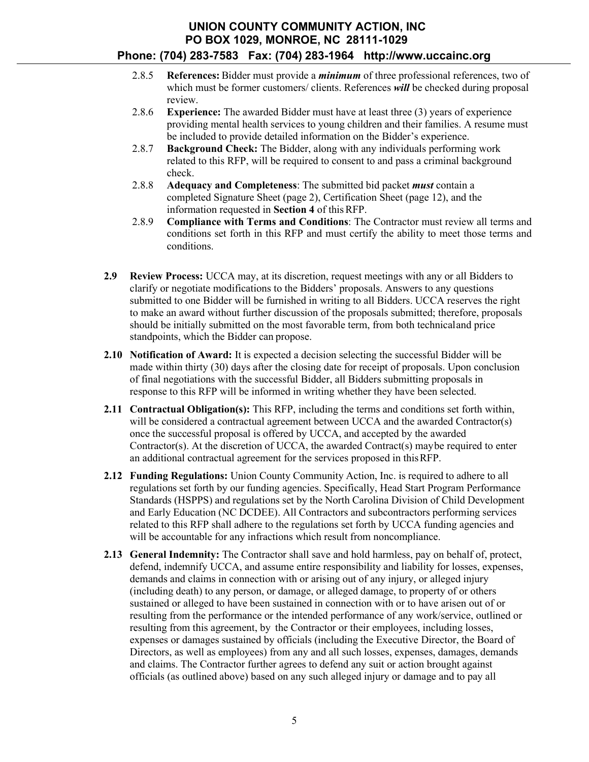- 2.8.5 **References:** Bidder must provide a *minimum* of three professional references, two of which must be former customers/ clients. References *will* be checked during proposal review.
- 2.8.6 **Experience:** The awarded Bidder must have at least three (3) years of experience providing mental health services to young children and their families. A resume must be included to provide detailed information on the Bidder's experience.
- 2.8.7 **Background Check:** The Bidder, along with any individuals performing work related to this RFP, will be required to consent to and pass a criminal background check.
- 2.8.8 **Adequacy and Completeness**: The submitted bid packet *must* contain a completed Signature Sheet (page 2), Certification Sheet (page 12), and the information requested in **Section 4** of thisRFP.
- 2.8.9 **Compliance with Terms and Conditions**: The Contractor must review all terms and conditions set forth in this RFP and must certify the ability to meet those terms and conditions.
- **2.9 Review Process:** UCCA may, at its discretion, request meetings with any or all Bidders to clarify or negotiate modifications to the Bidders' proposals. Answers to any questions submitted to one Bidder will be furnished in writing to all Bidders. UCCA reserves the right to make an award without further discussion of the proposals submitted; therefore, proposals should be initially submitted on the most favorable term, from both technical and price standpoints, which the Bidder can propose.
- **2.10 Notification of Award:** It is expected a decision selecting the successful Bidder will be made within thirty (30) days after the closing date for receipt of proposals. Upon conclusion of final negotiations with the successful Bidder, all Bidders submitting proposals in response to this RFP will be informed in writing whether they have been selected.
- **2.11 Contractual Obligation(s):** This RFP, including the terms and conditions set forth within, will be considered a contractual agreement between UCCA and the awarded Contractor(s) once the successful proposal is offered by UCCA, and accepted by the awarded Contractor(s). At the discretion of UCCA, the awarded Contract(s) may be required to enter an additional contractual agreement for the services proposed in this RFP.
- **2.12 Funding Regulations:** Union County Community Action, Inc. is required to adhere to all regulations set forth by our funding agencies. Specifically, Head Start Program Performance Standards (HSPPS) and regulations set by the North Carolina Division of Child Development and Early Education (NC DCDEE). All Contractors and subcontractors performing services related to this RFP shall adhere to the regulations set forth by UCCA funding agencies and will be accountable for any infractions which result from noncompliance.
- **2.13 General Indemnity:** The Contractor shall save and hold harmless, pay on behalf of, protect, defend, indemnify UCCA, and assume entire responsibility and liability for losses, expenses, demands and claims in connection with or arising out of any injury, or alleged injury (including death) to any person, or damage, or alleged damage, to property of or others sustained or alleged to have been sustained in connection with or to have arisen out of or resulting from the performance or the intended performance of any work/service, outlined or resulting from this agreement, by the Contractor or their employees, including losses, expenses or damages sustained by officials (including the Executive Director, the Board of Directors, as well as employees) from any and all such losses, expenses, damages, demands and claims. The Contractor further agrees to defend any suit or action brought against officials (as outlined above) based on any such alleged injury or damage and to pay all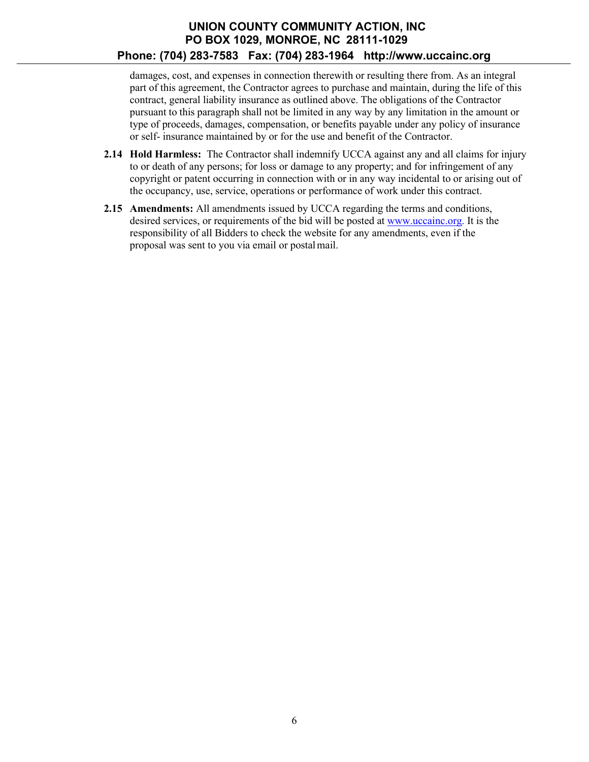damages, cost, and expenses in connection therewith or resulting there from. As an integral part of this agreement, the Contractor agrees to purchase and maintain, during the life of this contract, general liability insurance as outlined above. The obligations of the Contractor pursuant to this paragraph shall not be limited in any way by any limitation in the amount or type of proceeds, damages, compensation, or benefits payable under any policy of insurance or self- insurance maintained by or for the use and benefit of the Contractor.

- **2.14 Hold Harmless:** The Contractor shall indemnify UCCA against any and all claims for injury to or death of any persons; for loss or damage to any property; and for infringement of any copyright or patent occurring in connection with or in any way incidental to or arising out of the occupancy, use, service, operations or performance of work under this contract.
- **2.15 Amendments:** All amendments issued by UCCA regarding the terms and conditions, desired services, or requirements of the bid will be posted at [www.uccainc.org.](http://www.uccainc.org/) It is the responsibility of all Bidders to check the website for any amendments, even if the proposal was sent to you via email or postal mail.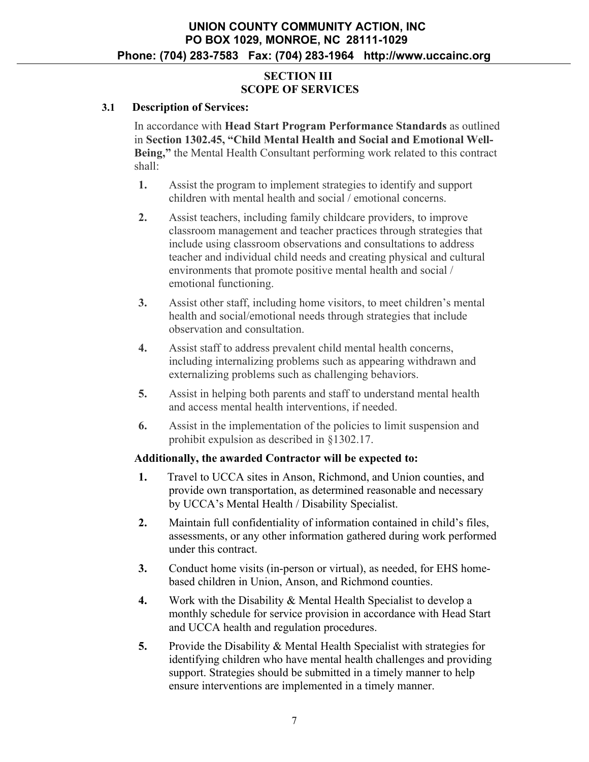## **SECTION III SCOPE OF SERVICES**

### **3.1 Description of Services:**

In accordance with **Head Start Program Performance Standards** as outlined in **Section 1302.45, "Child Mental Health and Social and Emotional Well-Being,"** the Mental Health Consultant performing work related to this contract shall:

- **1.** Assist the program to implement strategies to identify and support children with mental health and social / emotional concerns.
- **2.** Assist teachers, including family childcare providers, to improve classroom management and teacher practices through strategies that include using classroom observations and consultations to address teacher and individual child needs and creating physical and cultural environments that promote positive mental health and social / emotional functioning.
- **3.** Assist other staff, including home visitors, to meet children's mental health and social/emotional needs through strategies that include observation and consultation.
- **4.** Assist staff to address prevalent child mental health concerns, including internalizing problems such as appearing withdrawn and externalizing problems such as challenging behaviors.
- **5.** Assist in helping both parents and staff to understand mental health and access mental health interventions, if needed.
- **6.** Assist in the implementation of the policies to limit suspension and prohibit expulsion as described in §1302.17.

### **Additionally, the awarded Contractor will be expected to:**

- **1.** Travel to UCCA sites in Anson, Richmond, and Union counties, and provide own transportation, as determined reasonable and necessary by UCCA's Mental Health / Disability Specialist.
- **2.** Maintain full confidentiality of information contained in child's files, assessments, or any other information gathered during work performed under this contract.
- **3.** Conduct home visits (in-person or virtual), as needed, for EHS homebased children in Union, Anson, and Richmond counties.
- **4.** Work with the Disability & Mental Health Specialist to develop a monthly schedule for service provision in accordance with Head Start and UCCA health and regulation procedures.
- **5.** Provide the Disability & Mental Health Specialist with strategies for identifying children who have mental health challenges and providing support. Strategies should be submitted in a timely manner to help ensure interventions are implemented in a timely manner.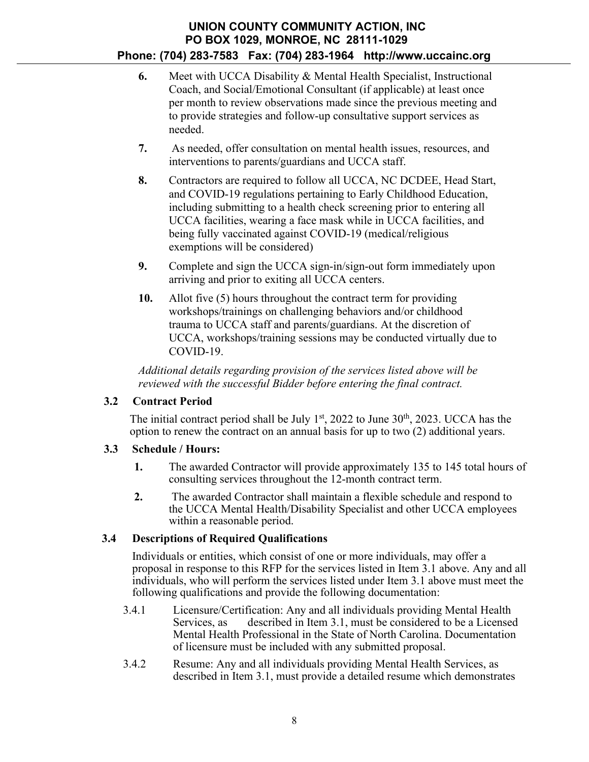- **6.** Meet with UCCA Disability & Mental Health Specialist, Instructional Coach, and Social/Emotional Consultant (if applicable) at least once per month to review observations made since the previous meeting and to provide strategies and follow-up consultative support services as needed.
- **7.** As needed, offer consultation on mental health issues, resources, and interventions to parents/guardians and UCCA staff.
- **8.** Contractors are required to follow all UCCA, NC DCDEE, Head Start, and COVID-19 regulations pertaining to Early Childhood Education, including submitting to a health check screening prior to entering all UCCA facilities, wearing a face mask while in UCCA facilities, and being fully vaccinated against COVID-19 (medical/religious exemptions will be considered)
- **9.** Complete and sign the UCCA sign-in/sign-out form immediately upon arriving and prior to exiting all UCCA centers.
- **10.** Allot five (5) hours throughout the contract term for providing workshops/trainings on challenging behaviors and/or childhood trauma to UCCA staff and parents/guardians. At the discretion of UCCA, workshops/training sessions may be conducted virtually due to COVID-19.

*Additional details regarding provision of the services listed above will be reviewed with the successful Bidder before entering the final contract.* 

# **3.2 Contract Period**

The initial contract period shall be July  $1<sup>st</sup>$ , 2022 to June 30<sup>th</sup>, 2023. UCCA has the option to renew the contract on an annual basis for up to two (2) additional years.

# **3.3 Schedule / Hours:**

- **1.** The awarded Contractor will provide approximately 135 to 145 total hours of consulting services throughout the 12-month contract term.
- **2.** The awarded Contractor shall maintain a flexible schedule and respond to the UCCA Mental Health/Disability Specialist and other UCCA employees within a reasonable period.

# **3.4 Descriptions of Required Qualifications**

Individuals or entities, which consist of one or more individuals, may offer a proposal in response to this RFP for the services listed in Item 3.1 above. Any and all individuals, who will perform the services listed under Item 3.1 above must meet the following qualifications and provide the following documentation:

- 3.4.1 Licensure/Certification: Any and all individuals providing Mental Health Services, as described in Item 3.1, must be considered to be a Licensed Mental Health Professional in the State of North Carolina. Documentation of licensure must be included with any submitted proposal.
- 3.4.2 Resume: Any and all individuals providing Mental Health Services, as described in Item 3.1, must provide a detailed resume which demonstrates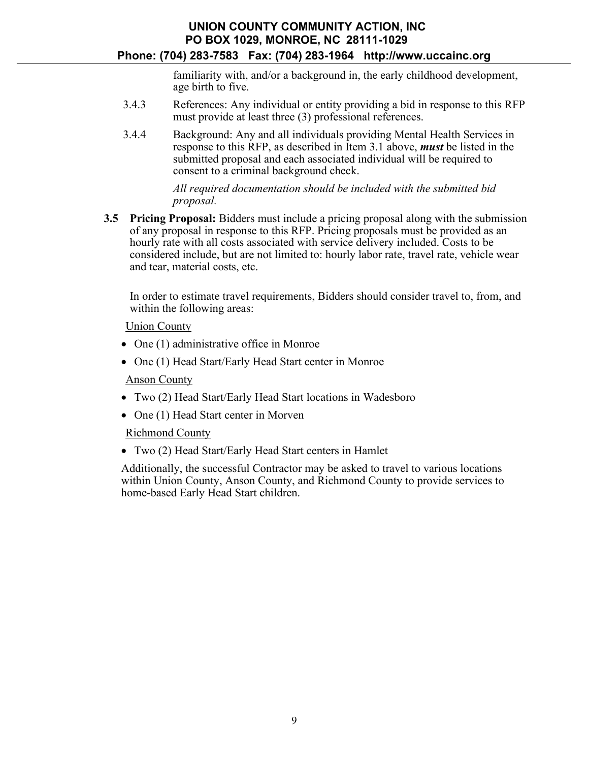# **UNION COUNTY COMMUNITY ACTION, INC PO BOX 1029, MONROE, NC 28111-1029**

### **Phone: (704) 283-7583 Fax: (704) 283-1964 [http://www.uccainc.org](http://www.uccainc.org/)**

familiarity with, and/or a background in, the early childhood development, age birth to five.

- 3.4.3 References: Any individual or entity providing a bid in response to this RFP must provide at least three (3) professional references.
- 3.4.4 Background: Any and all individuals providing Mental Health Services in response to this RFP, as described in Item 3.1 above, *must* be listed in the submitted proposal and each associated individual will be required to consent to a criminal background check.

### *All required documentation should be included with the submitted bid proposal.*

**3.5 Pricing Proposal:** Bidders must include a pricing proposal along with the submission of any proposal in response to this RFP. Pricing proposals must be provided as an hourly rate with all costs associated with service delivery included. Costs to be considered include, but are not limited to: hourly labor rate, travel rate, vehicle wear and tear, material costs, etc.

In order to estimate travel requirements, Bidders should consider travel to, from, and within the following areas:

Union County

- One (1) administrative office in Monroe
- One (1) Head Start/Early Head Start center in Monroe

Anson County

- Two (2) Head Start/Early Head Start locations in Wadesboro
- One (1) Head Start center in Morven

Richmond County

• Two (2) Head Start/Early Head Start centers in Hamlet

Additionally, the successful Contractor may be asked to travel to various locations within Union County, Anson County, and Richmond County to provide services to home-based Early Head Start children.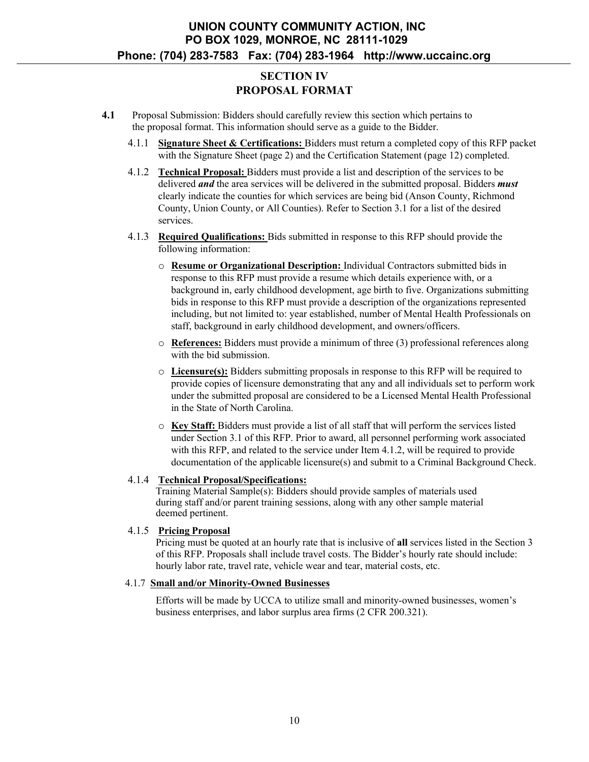# **SECTION IV PROPOSAL FORMAT**

- **4.1** Proposal Submission: Bidders should carefully review this section which pertains to the proposal format. This information should serve as a guide to the Bidder.
	- 4.1.1 **Signature Sheet & Certifications:** Bidders must return a completed copy of this RFP packet with the Signature Sheet (page 2) and the Certification Statement (page 12) completed.
	- 4.1.2 **Technical Proposal:** Bidders must provide a list and description of the services to be delivered *and* the area services will be delivered in the submitted proposal. Bidders *must*  clearly indicate the counties for which services are being bid (Anson County, Richmond County, Union County, or All Counties). Refer to Section 3.1 for a list of the desired services.
	- 4.1.3 **Required Qualifications:** Bids submitted in response to this RFP should provide the following information:
		- o **Resume or Organizational Description:** Individual Contractors submitted bids in response to this RFP must provide a resume which details experience with, or a background in, early childhood development, age birth to five. Organizations submitting bids in response to this RFP must provide a description of the organizations represented including, but not limited to: year established, number of Mental Health Professionals on staff, background in early childhood development, and owners/officers.
		- o **References:** Bidders must provide a minimum of three (3) professional references along with the bid submission.
		- o **Licensure(s):** Bidders submitting proposals in response to this RFP will be required to provide copies of licensure demonstrating that any and all individuals set to perform work under the submitted proposal are considered to be a Licensed Mental Health Professional in the State of North Carolina.
		- o **Key Staff:** Bidders must provide a list of all staff that will perform the services listed under Section 3.1 of this RFP. Prior to award, all personnel performing work associated with this RFP, and related to the service under Item 4.1.2, will be required to provide documentation of the applicable licensure(s) and submit to a Criminal Background Check.

### 4.1.4 **Technical Proposal/Specifications:**

Training Material Sample(s): Bidders should provide samples of materials used during staff and/or parent training sessions, along with any other sample material deemed pertinent.

### 4.1.5 **Pricing Proposal**

Pricing must be quoted at an hourly rate that is inclusive of **all** services listed in the Section 3 of this RFP. Proposals shall include travel costs. The Bidder's hourly rate should include: hourly labor rate, travel rate, vehicle wear and tear, material costs, etc.

#### 4.1.7 **Small and/or Minority-Owned Businesses**

Efforts will be made by UCCA to utilize small and minority-owned businesses, women's business enterprises, and labor surplus area firms (2 CFR 200.321).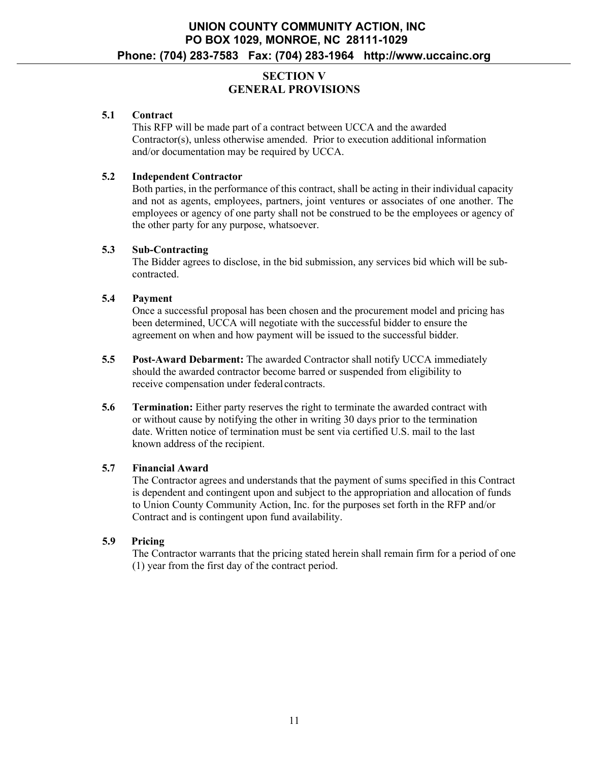## **SECTION V GENERAL PROVISIONS**

### **5.1 Contract**

This RFP will be made part of a contract between UCCA and the awarded Contractor(s), unless otherwise amended. Prior to execution additional information and/or documentation may be required by UCCA.

### **5.2 Independent Contractor**

Both parties, in the performance of this contract, shall be acting in their individual capacity and not as agents, employees, partners, joint ventures or associates of one another. The employees or agency of one party shall not be construed to be the employees or agency of the other party for any purpose, whatsoever.

### **5.3 Sub-Contracting**

The Bidder agrees to disclose, in the bid submission, any services bid which will be subcontracted.

### **5.4 Payment**

Once a successful proposal has been chosen and the procurement model and pricing has been determined, UCCA will negotiate with the successful bidder to ensure the agreement on when and how payment will be issued to the successful bidder.

- **5.5 Post-Award Debarment:** The awarded Contractor shall notify UCCA immediately should the awarded contractor become barred or suspended from eligibility to receive compensation under federal contracts.
- **5.6 Termination:** Either party reserves the right to terminate the awarded contract with or without cause by notifying the other in writing 30 days prior to the termination date. Written notice of termination must be sent via certified U.S. mail to the last known address of the recipient.

### **5.7 Financial Award**

The Contractor agrees and understands that the payment of sums specified in this Contract is dependent and contingent upon and subject to the appropriation and allocation of funds to Union County Community Action, Inc. for the purposes set forth in the RFP and/or Contract and is contingent upon fund availability.

### **5.9 Pricing**

The Contractor warrants that the pricing stated herein shall remain firm for a period of one (1) year from the first day of the contract period.